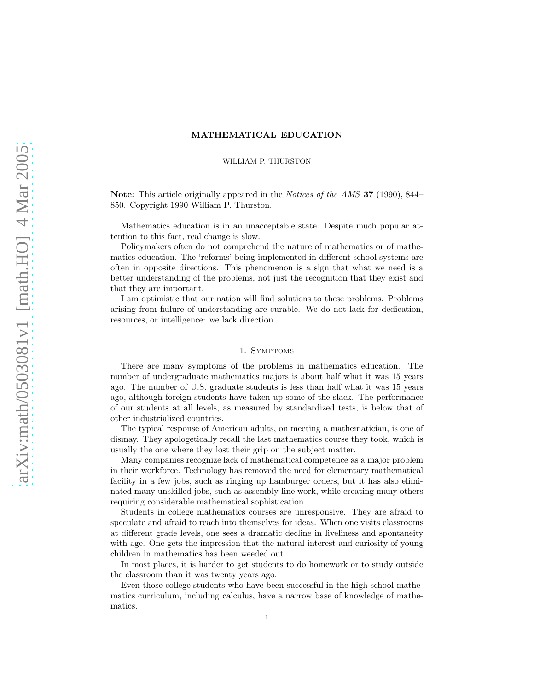# MATHEMATICAL EDUCATION

WILLIAM P. THURSTON

Note: This article originally appeared in the Notices of the AMS 37 (1990), 844– 850. Copyright 1990 William P. Thurston.

Mathematics education is in an unacceptable state. Despite much popular attention to this fact, real change is slow.

Policymakers often do not comprehend the nature of mathematics or of mathematics education. The 'reforms' being implemented in different school systems are often in opposite directions. This phenomenon is a sign that what we need is a better understanding of the problems, not just the recognition that they exist and that they are important.

I am optimistic that our nation will find solutions to these problems. Problems arising from failure of understanding are curable. We do not lack for dedication, resources, or intelligence: we lack direction.

# 1. Symptoms

There are many symptoms of the problems in mathematics education. The number of undergraduate mathematics majors is about half what it was 15 years ago. The number of U.S. graduate students is less than half what it was 15 years ago, although foreign students have taken up some of the slack. The performance of our students at all levels, as measured by standardized tests, is below that of other industrialized countries.

The typical response of American adults, on meeting a mathematician, is one of dismay. They apologetically recall the last mathematics course they took, which is usually the one where they lost their grip on the subject matter.

Many companies recognize lack of mathematical competence as a major problem in their workforce. Technology has removed the need for elementary mathematical facility in a few jobs, such as ringing up hamburger orders, but it has also eliminated many unskilled jobs, such as assembly-line work, while creating many others requiring considerable mathematical sophistication.

Students in college mathematics courses are unresponsive. They are afraid to speculate and afraid to reach into themselves for ideas. When one visits classrooms at different grade levels, one sees a dramatic decline in liveliness and spontaneity with age. One gets the impression that the natural interest and curiosity of young children in mathematics has been weeded out.

In most places, it is harder to get students to do homework or to study outside the classroom than it was twenty years ago.

Even those college students who have been successful in the high school mathematics curriculum, including calculus, have a narrow base of knowledge of mathematics.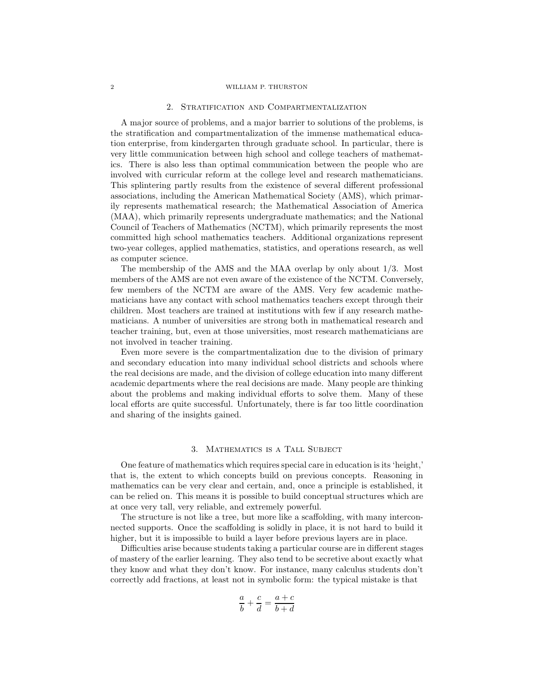#### 2. Stratification and Compartmentalization

A major source of problems, and a major barrier to solutions of the problems, is the stratification and compartmentalization of the immense mathematical education enterprise, from kindergarten through graduate school. In particular, there is very little communication between high school and college teachers of mathematics. There is also less than optimal communication between the people who are involved with curricular reform at the college level and research mathematicians. This splintering partly results from the existence of several different professional associations, including the American Mathematical Society (AMS), which primarily represents mathematical research; the Mathematical Association of America (MAA), which primarily represents undergraduate mathematics; and the National Council of Teachers of Mathematics (NCTM), which primarily represents the most committed high school mathematics teachers. Additional organizations represent two-year colleges, applied mathematics, statistics, and operations research, as well as computer science.

The membership of the AMS and the MAA overlap by only about 1/3. Most members of the AMS are not even aware of the existence of the NCTM. Conversely, few members of the NCTM are aware of the AMS. Very few academic mathematicians have any contact with school mathematics teachers except through their children. Most teachers are trained at institutions with few if any research mathematicians. A number of universities are strong both in mathematical research and teacher training, but, even at those universities, most research mathematicians are not involved in teacher training.

Even more severe is the compartmentalization due to the division of primary and secondary education into many individual school districts and schools where the real decisions are made, and the division of college education into many different academic departments where the real decisions are made. Many people are thinking about the problems and making individual efforts to solve them. Many of these local efforts are quite successful. Unfortunately, there is far too little coordination and sharing of the insights gained.

### 3. Mathematics is a Tall Subject

One feature of mathematics which requires special care in education is its 'height,' that is, the extent to which concepts build on previous concepts. Reasoning in mathematics can be very clear and certain, and, once a principle is established, it can be relied on. This means it is possible to build conceptual structures which are at once very tall, very reliable, and extremely powerful.

The structure is not like a tree, but more like a scaffolding, with many interconnected supports. Once the scaffolding is solidly in place, it is not hard to build it higher, but it is impossible to build a layer before previous layers are in place.

Difficulties arise because students taking a particular course are in different stages of mastery of the earlier learning. They also tend to be secretive about exactly what they know and what they don't know. For instance, many calculus students don't correctly add fractions, at least not in symbolic form: the typical mistake is that

$$
\frac{a}{b} + \frac{c}{d} = \frac{a+c}{b+d}
$$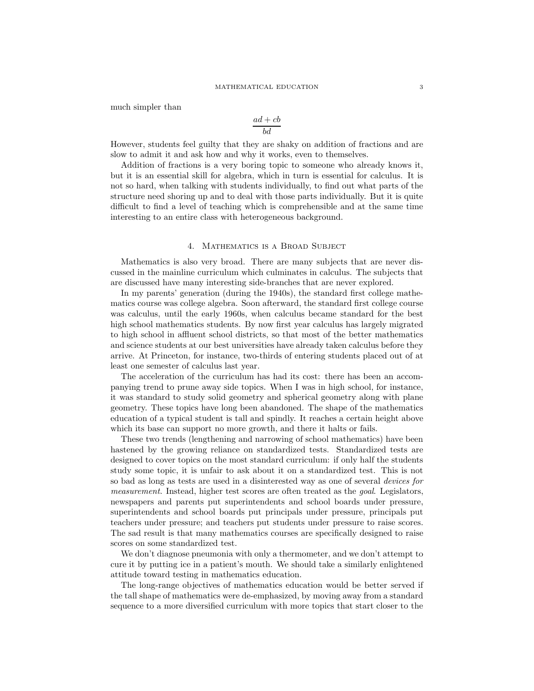much simpler than

$$
\frac{ad+cb}{bd}
$$

However, students feel guilty that they are shaky on addition of fractions and are slow to admit it and ask how and why it works, even to themselves.

Addition of fractions is a very boring topic to someone who already knows it, but it is an essential skill for algebra, which in turn is essential for calculus. It is not so hard, when talking with students individually, to find out what parts of the structure need shoring up and to deal with those parts individually. But it is quite difficult to find a level of teaching which is comprehensible and at the same time interesting to an entire class with heterogeneous background.

### 4. Mathematics is a Broad Subject

Mathematics is also very broad. There are many subjects that are never discussed in the mainline curriculum which culminates in calculus. The subjects that are discussed have many interesting side-branches that are never explored.

In my parents' generation (during the 1940s), the standard first college mathematics course was college algebra. Soon afterward, the standard first college course was calculus, until the early 1960s, when calculus became standard for the best high school mathematics students. By now first year calculus has largely migrated to high school in affluent school districts, so that most of the better mathematics and science students at our best universities have already taken calculus before they arrive. At Princeton, for instance, two-thirds of entering students placed out of at least one semester of calculus last year.

The acceleration of the curriculum has had its cost: there has been an accompanying trend to prune away side topics. When I was in high school, for instance, it was standard to study solid geometry and spherical geometry along with plane geometry. These topics have long been abandoned. The shape of the mathematics education of a typical student is tall and spindly. It reaches a certain height above which its base can support no more growth, and there it halts or fails.

These two trends (lengthening and narrowing of school mathematics) have been hastened by the growing reliance on standardized tests. Standardized tests are designed to cover topics on the most standard curriculum: if only half the students study some topic, it is unfair to ask about it on a standardized test. This is not so bad as long as tests are used in a disinterested way as one of several devices for measurement. Instead, higher test scores are often treated as the *goal*. Legislators, newspapers and parents put superintendents and school boards under pressure, superintendents and school boards put principals under pressure, principals put teachers under pressure; and teachers put students under pressure to raise scores. The sad result is that many mathematics courses are specifically designed to raise scores on some standardized test.

We don't diagnose pneumonia with only a thermometer, and we don't attempt to cure it by putting ice in a patient's mouth. We should take a similarly enlightened attitude toward testing in mathematics education.

The long-range objectives of mathematics education would be better served if the tall shape of mathematics were de-emphasized, by moving away from a standard sequence to a more diversified curriculum with more topics that start closer to the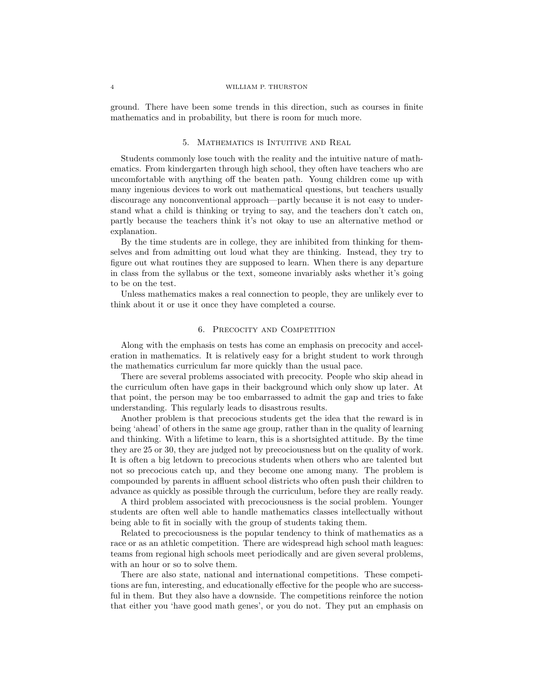ground. There have been some trends in this direction, such as courses in finite mathematics and in probability, but there is room for much more.

# 5. Mathematics is Intuitive and Real

Students commonly lose touch with the reality and the intuitive nature of mathematics. From kindergarten through high school, they often have teachers who are uncomfortable with anything off the beaten path. Young children come up with many ingenious devices to work out mathematical questions, but teachers usually discourage any nonconventional approach—partly because it is not easy to understand what a child is thinking or trying to say, and the teachers don't catch on, partly because the teachers think it's not okay to use an alternative method or explanation.

By the time students are in college, they are inhibited from thinking for themselves and from admitting out loud what they are thinking. Instead, they try to figure out what routines they are supposed to learn. When there is any departure in class from the syllabus or the text, someone invariably asks whether it's going to be on the test.

Unless mathematics makes a real connection to people, they are unlikely ever to think about it or use it once they have completed a course.

### 6. Precocity and Competition

Along with the emphasis on tests has come an emphasis on precocity and acceleration in mathematics. It is relatively easy for a bright student to work through the mathematics curriculum far more quickly than the usual pace.

There are several problems associated with precocity. People who skip ahead in the curriculum often have gaps in their background which only show up later. At that point, the person may be too embarrassed to admit the gap and tries to fake understanding. This regularly leads to disastrous results.

Another problem is that precocious students get the idea that the reward is in being 'ahead' of others in the same age group, rather than in the quality of learning and thinking. With a lifetime to learn, this is a shortsighted attitude. By the time they are 25 or 30, they are judged not by precociousness but on the quality of work. It is often a big letdown to precocious students when others who are talented but not so precocious catch up, and they become one among many. The problem is compounded by parents in affluent school districts who often push their children to advance as quickly as possible through the curriculum, before they are really ready.

A third problem associated with precociousness is the social problem. Younger students are often well able to handle mathematics classes intellectually without being able to fit in socially with the group of students taking them.

Related to precociousness is the popular tendency to think of mathematics as a race or as an athletic competition. There are widespread high school math leagues: teams from regional high schools meet periodically and are given several problems, with an hour or so to solve them.

There are also state, national and international competitions. These competitions are fun, interesting, and educationally effective for the people who are successful in them. But they also have a downside. The competitions reinforce the notion that either you 'have good math genes', or you do not. They put an emphasis on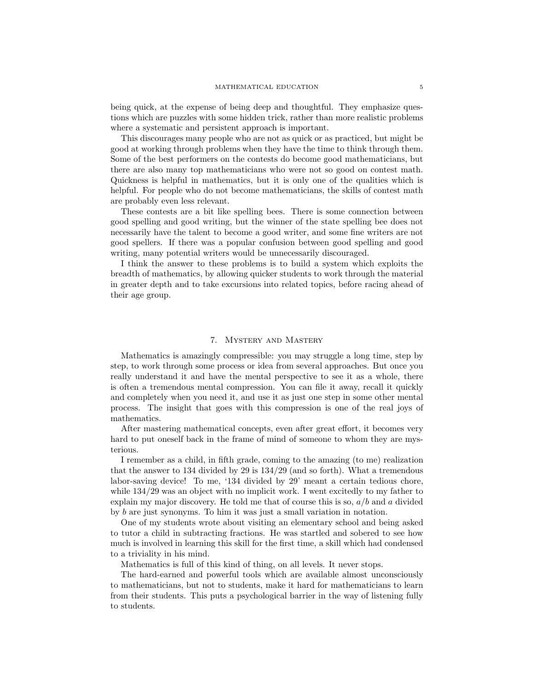being quick, at the expense of being deep and thoughtful. They emphasize questions which are puzzles with some hidden trick, rather than more realistic problems where a systematic and persistent approach is important.

This discourages many people who are not as quick or as practiced, but might be good at working through problems when they have the time to think through them. Some of the best performers on the contests do become good mathematicians, but there are also many top mathematicians who were not so good on contest math. Quickness is helpful in mathematics, but it is only one of the qualities which is helpful. For people who do not become mathematicians, the skills of contest math are probably even less relevant.

These contests are a bit like spelling bees. There is some connection between good spelling and good writing, but the winner of the state spelling bee does not necessarily have the talent to become a good writer, and some fine writers are not good spellers. If there was a popular confusion between good spelling and good writing, many potential writers would be unnecessarily discouraged.

I think the answer to these problems is to build a system which exploits the breadth of mathematics, by allowing quicker students to work through the material in greater depth and to take excursions into related topics, before racing ahead of their age group.

#### 7. Mystery and Mastery

Mathematics is amazingly compressible: you may struggle a long time, step by step, to work through some process or idea from several approaches. But once you really understand it and have the mental perspective to see it as a whole, there is often a tremendous mental compression. You can file it away, recall it quickly and completely when you need it, and use it as just one step in some other mental process. The insight that goes with this compression is one of the real joys of mathematics.

After mastering mathematical concepts, even after great effort, it becomes very hard to put oneself back in the frame of mind of someone to whom they are mysterious.

I remember as a child, in fifth grade, coming to the amazing (to me) realization that the answer to 134 divided by 29 is 134/29 (and so forth). What a tremendous labor-saving device! To me, '134 divided by 29' meant a certain tedious chore, while  $134/29$  was an object with no implicit work. I went excitedly to my father to explain my major discovery. He told me that of course this is so,  $a/b$  and a divided by b are just synonyms. To him it was just a small variation in notation.

One of my students wrote about visiting an elementary school and being asked to tutor a child in subtracting fractions. He was startled and sobered to see how much is involved in learning this skill for the first time, a skill which had condensed to a triviality in his mind.

Mathematics is full of this kind of thing, on all levels. It never stops.

The hard-earned and powerful tools which are available almost unconsciously to mathematicians, but not to students, make it hard for mathematicians to learn from their students. This puts a psychological barrier in the way of listening fully to students.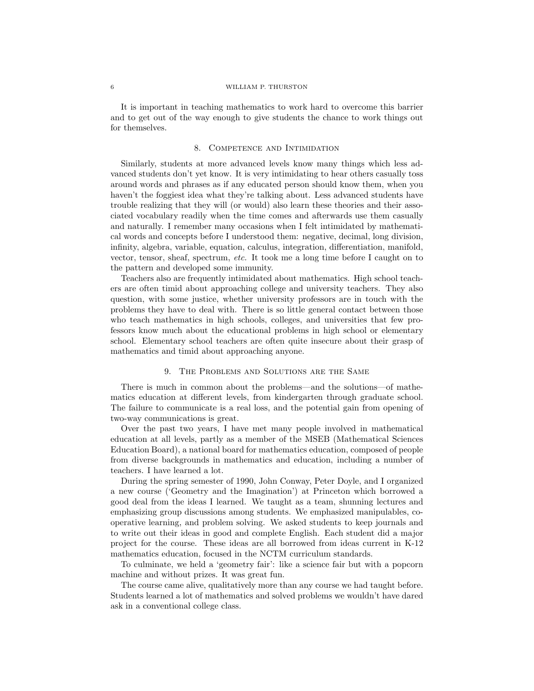It is important in teaching mathematics to work hard to overcome this barrier and to get out of the way enough to give students the chance to work things out for themselves.

# 8. Competence and Intimidation

Similarly, students at more advanced levels know many things which less advanced students don't yet know. It is very intimidating to hear others casually toss around words and phrases as if any educated person should know them, when you haven't the foggiest idea what they're talking about. Less advanced students have trouble realizing that they will (or would) also learn these theories and their associated vocabulary readily when the time comes and afterwards use them casually and naturally. I remember many occasions when I felt intimidated by mathematical words and concepts before I understood them: negative, decimal, long division, infinity, algebra, variable, equation, calculus, integration, differentiation, manifold, vector, tensor, sheaf, spectrum, etc. It took me a long time before I caught on to the pattern and developed some immunity.

Teachers also are frequently intimidated about mathematics. High school teachers are often timid about approaching college and university teachers. They also question, with some justice, whether university professors are in touch with the problems they have to deal with. There is so little general contact between those who teach mathematics in high schools, colleges, and universities that few professors know much about the educational problems in high school or elementary school. Elementary school teachers are often quite insecure about their grasp of mathematics and timid about approaching anyone.

# 9. The Problems and Solutions are the Same

There is much in common about the problems—and the solutions—of mathematics education at different levels, from kindergarten through graduate school. The failure to communicate is a real loss, and the potential gain from opening of two-way communications is great.

Over the past two years, I have met many people involved in mathematical education at all levels, partly as a member of the MSEB (Mathematical Sciences Education Board), a national board for mathematics education, composed of people from diverse backgrounds in mathematics and education, including a number of teachers. I have learned a lot.

During the spring semester of 1990, John Conway, Peter Doyle, and I organized a new course ('Geometry and the Imagination') at Princeton which borrowed a good deal from the ideas I learned. We taught as a team, shunning lectures and emphasizing group discussions among students. We emphasized manipulables, cooperative learning, and problem solving. We asked students to keep journals and to write out their ideas in good and complete English. Each student did a major project for the course. These ideas are all borrowed from ideas current in K-12 mathematics education, focused in the NCTM curriculum standards.

To culminate, we held a 'geometry fair': like a science fair but with a popcorn machine and without prizes. It was great fun.

The course came alive, qualitatively more than any course we had taught before. Students learned a lot of mathematics and solved problems we wouldn't have dared ask in a conventional college class.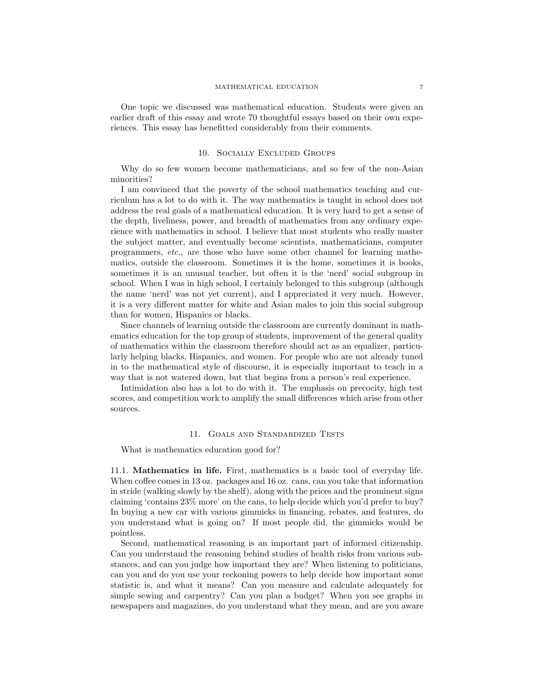One topic we discussed was mathematical education. Students were given an earlier draft of this essay and wrote 70 thoughtful essays based on their own experiences. This essay has benefitted considerably from their comments.

# 10. Socially Excluded Groups

Why do so few women become mathematicians, and so few of the non-Asian minorities?

I am convinced that the poverty of the school mathematics teaching and curriculum has a lot to do with it. The way mathematics is taught in school does not address the real goals of a mathematical education. It is very hard to get a sense of the depth, liveliness, power, and breadth of mathematics from any ordinary experience with mathematics in school. I believe that most students who really master the subject matter, and eventually become scientists, mathematicians, computer programmers, etc., are those who have some other channel for learning mathematics, outside the classroom. Sometimes it is the home, sometimes it is books, sometimes it is an unusual teacher, but often it is the 'nerd' social subgroup in school. When I was in high school, I certainly belonged to this subgroup (although the name 'nerd' was not yet current), and I appreciated it very much. However, it is a very different matter for white and Asian males to join this social subgroup than for women, Hispanics or blacks.

Since channels of learning outside the classroom are currently dominant in mathematics education for the top group of students, improvement of the general quality of mathematics within the classroom therefore should act as an equalizer, particularly helping blacks, Hispanics, and women. For people who are not already tuned in to the mathematical style of discourse, it is especially important to teach in a way that is not watered down, but that begins from a person's real experience.

Intimidation also has a lot to do with it. The emphasis on precocity, high test scores, and competition work to amplify the small differences which arise from other sources.

### 11. Goals and Standardized Tests

What is mathematics education good for?

11.1. Mathematics in life. First, mathematics is a basic tool of everyday life. When coffee comes in 13 oz. packages and 16 oz. cans, can you take that information in stride (walking slowly by the shelf), along with the prices and the prominent signs claiming 'contains 23% more' on the cans, to help decide which you'd prefer to buy? In buying a new car with various gimmicks in financing, rebates, and features, do you understand what is going on? If most people did, the gimmicks would be pointless.

Second, mathematical reasoning is an important part of informed citizenship. Can you understand the reasoning behind studies of health risks from various substances, and can you judge how important they are? When listening to politicians, can you and do you use your reckoning powers to help decide how important some statistic is, and what it means? Can you measure and calculate adequately for simple sewing and carpentry? Can you plan a budget? When you see graphs in newspapers and magazines, do you understand what they mean, and are you aware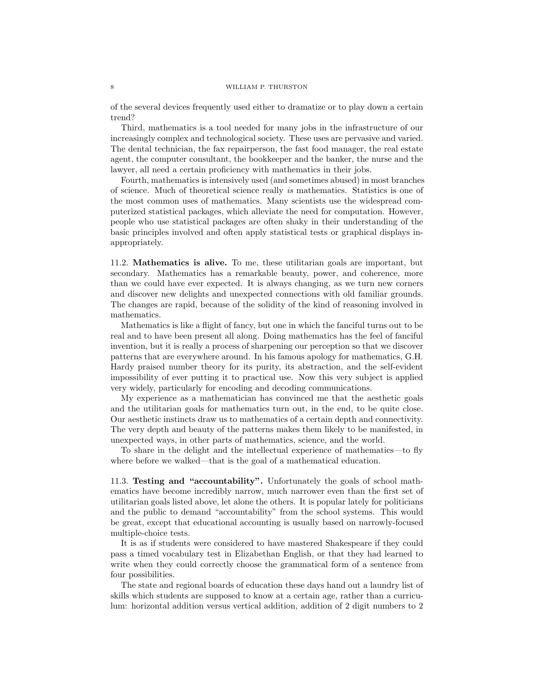of the several devices frequently used either to dramatize or to play down a certain trend?

Third, mathematics is a tool needed for many jobs in the infrastructure of our increasingly complex and technological society. These uses are pervasive and varied. The dental technician, the fax repairperson, the fast food manager, the real estate agent, the computer consultant, the bookkeeper and the banker, the nurse and the lawyer, all need a certain proficiency with mathematics in their jobs.

Fourth, mathematics is intensively used (and sometimes abused) in most branches of science. Much of theoretical science really is mathematics. Statistics is one of the most common uses of mathematics. Many scientists use the widespread computerized statistical packages, which alleviate the need for computation. However, people who use statistical packages are often shaky in their understanding of the basic principles involved and often apply statistical tests or graphical displays inappropriately.

11.2. Mathematics is alive. To me, these utilitarian goals are important, but secondary. Mathematics has a remarkable beauty, power, and coherence, more than we could have ever expected. It is always changing, as we turn new corners and discover new delights and unexpected connections with old familiar grounds. The changes are rapid, because of the solidity of the kind of reasoning involved in mathematics.

Mathematics is like a flight of fancy, but one in which the fanciful turns out to be real and to have been present all along. Doing mathematics has the feel of fanciful invention, but it is really a process of sharpening our perception so that we discover patterns that are everywhere around. In his famous apology for mathematics, G.H. Hardy praised number theory for its purity, its abstraction, and the self-evident impossibility of ever putting it to practical use. Now this very subject is applied very widely, particularly for encoding and decoding communications.

My experience as a mathematician has convinced me that the aesthetic goals and the utilitarian goals for mathematics turn out, in the end, to be quite close. Our aesthetic instincts draw us to mathematics of a certain depth and connectivity. The very depth and beauty of the patterns makes them likely to be manifested, in unexpected ways, in other parts of mathematics, science, and the world.

To share in the delight and the intellectual experience of mathematics—to fly where before we walked—that is the goal of a mathematical education.

11.3. Testing and "accountability". Unfortunately the goals of school mathematics have become incredibly narrow, much narrower even than the first set of utilitarian goals listed above, let alone the others. It is popular lately for politicians and the public to demand "accountability" from the school systems. This would be great, except that educational accounting is usually based on narrowly-focused multiple-choice tests.

It is as if students were considered to have mastered Shakespeare if they could pass a timed vocabulary test in Elizabethan English, or that they had learned to write when they could correctly choose the grammatical form of a sentence from four possibilities.

The state and regional boards of education these days hand out a laundry list of skills which students are supposed to know at a certain age, rather than a curriculum: horizontal addition versus vertical addition, addition of 2 digit numbers to 2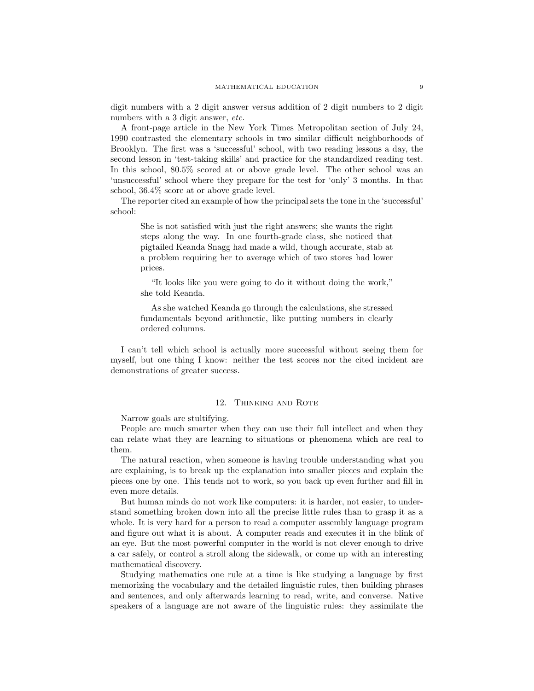digit numbers with a 2 digit answer versus addition of 2 digit numbers to 2 digit numbers with a 3 digit answer, etc.

A front-page article in the New York Times Metropolitan section of July 24, 1990 contrasted the elementary schools in two similar difficult neighborhoods of Brooklyn. The first was a 'successful' school, with two reading lessons a day, the second lesson in 'test-taking skills' and practice for the standardized reading test. In this school, 80.5% scored at or above grade level. The other school was an 'unsuccessful' school where they prepare for the test for 'only' 3 months. In that school, 36.4% score at or above grade level.

The reporter cited an example of how the principal sets the tone in the 'successful' school:

She is not satisfied with just the right answers; she wants the right steps along the way. In one fourth-grade class, she noticed that pigtailed Keanda Snagg had made a wild, though accurate, stab at a problem requiring her to average which of two stores had lower prices.

"It looks like you were going to do it without doing the work," she told Keanda.

As she watched Keanda go through the calculations, she stressed fundamentals beyond arithmetic, like putting numbers in clearly ordered columns.

I can't tell which school is actually more successful without seeing them for myself, but one thing I know: neither the test scores nor the cited incident are demonstrations of greater success.

## 12. Thinking and Rote

Narrow goals are stultifying.

People are much smarter when they can use their full intellect and when they can relate what they are learning to situations or phenomena which are real to them.

The natural reaction, when someone is having trouble understanding what you are explaining, is to break up the explanation into smaller pieces and explain the pieces one by one. This tends not to work, so you back up even further and fill in even more details.

But human minds do not work like computers: it is harder, not easier, to understand something broken down into all the precise little rules than to grasp it as a whole. It is very hard for a person to read a computer assembly language program and figure out what it is about. A computer reads and executes it in the blink of an eye. But the most powerful computer in the world is not clever enough to drive a car safely, or control a stroll along the sidewalk, or come up with an interesting mathematical discovery.

Studying mathematics one rule at a time is like studying a language by first memorizing the vocabulary and the detailed linguistic rules, then building phrases and sentences, and only afterwards learning to read, write, and converse. Native speakers of a language are not aware of the linguistic rules: they assimilate the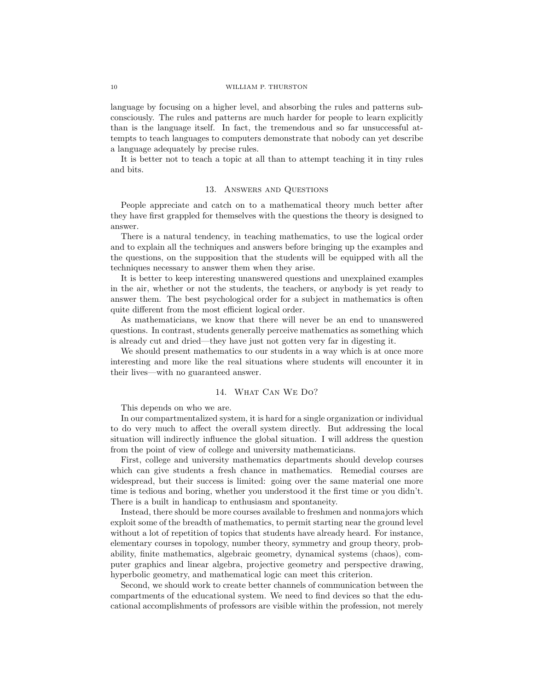language by focusing on a higher level, and absorbing the rules and patterns subconsciously. The rules and patterns are much harder for people to learn explicitly than is the language itself. In fact, the tremendous and so far unsuccessful attempts to teach languages to computers demonstrate that nobody can yet describe a language adequately by precise rules.

It is better not to teach a topic at all than to attempt teaching it in tiny rules and bits.

### 13. Answers and Questions

People appreciate and catch on to a mathematical theory much better after they have first grappled for themselves with the questions the theory is designed to answer.

There is a natural tendency, in teaching mathematics, to use the logical order and to explain all the techniques and answers before bringing up the examples and the questions, on the supposition that the students will be equipped with all the techniques necessary to answer them when they arise.

It is better to keep interesting unanswered questions and unexplained examples in the air, whether or not the students, the teachers, or anybody is yet ready to answer them. The best psychological order for a subject in mathematics is often quite different from the most efficient logical order.

As mathematicians, we know that there will never be an end to unanswered questions. In contrast, students generally perceive mathematics as something which is already cut and dried—they have just not gotten very far in digesting it.

We should present mathematics to our students in a way which is at once more interesting and more like the real situations where students will encounter it in their lives—with no guaranteed answer.

## 14. What Can We Do?

This depends on who we are.

In our compartmentalized system, it is hard for a single organization or individual to do very much to affect the overall system directly. But addressing the local situation will indirectly influence the global situation. I will address the question from the point of view of college and university mathematicians.

First, college and university mathematics departments should develop courses which can give students a fresh chance in mathematics. Remedial courses are widespread, but their success is limited: going over the same material one more time is tedious and boring, whether you understood it the first time or you didn't. There is a built in handicap to enthusiasm and spontaneity.

Instead, there should be more courses available to freshmen and nonmajors which exploit some of the breadth of mathematics, to permit starting near the ground level without a lot of repetition of topics that students have already heard. For instance, elementary courses in topology, number theory, symmetry and group theory, probability, finite mathematics, algebraic geometry, dynamical systems (chaos), computer graphics and linear algebra, projective geometry and perspective drawing, hyperbolic geometry, and mathematical logic can meet this criterion.

Second, we should work to create better channels of communication between the compartments of the educational system. We need to find devices so that the educational accomplishments of professors are visible within the profession, not merely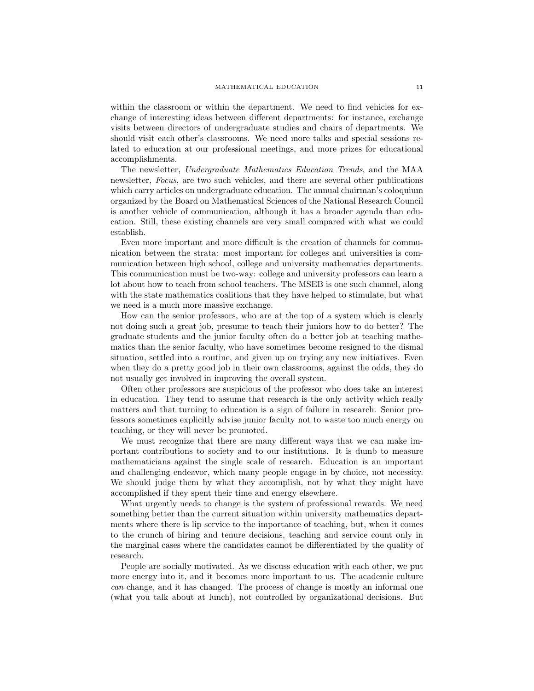within the classroom or within the department. We need to find vehicles for exchange of interesting ideas between different departments: for instance, exchange visits between directors of undergraduate studies and chairs of departments. We should visit each other's classrooms. We need more talks and special sessions related to education at our professional meetings, and more prizes for educational accomplishments.

The newsletter, Undergraduate Mathematics Education Trends, and the MAA newsletter, Focus, are two such vehicles, and there are several other publications which carry articles on undergraduate education. The annual chairman's coloquium organized by the Board on Mathematical Sciences of the National Research Council is another vehicle of communication, although it has a broader agenda than education. Still, these existing channels are very small compared with what we could establish.

Even more important and more difficult is the creation of channels for communication between the strata: most important for colleges and universities is communication between high school, college and university mathematics departments. This communication must be two-way: college and university professors can learn a lot about how to teach from school teachers. The MSEB is one such channel, along with the state mathematics coalitions that they have helped to stimulate, but what we need is a much more massive exchange.

How can the senior professors, who are at the top of a system which is clearly not doing such a great job, presume to teach their juniors how to do better? The graduate students and the junior faculty often do a better job at teaching mathematics than the senior faculty, who have sometimes become resigned to the dismal situation, settled into a routine, and given up on trying any new initiatives. Even when they do a pretty good job in their own classrooms, against the odds, they do not usually get involved in improving the overall system.

Often other professors are suspicious of the professor who does take an interest in education. They tend to assume that research is the only activity which really matters and that turning to education is a sign of failure in research. Senior professors sometimes explicitly advise junior faculty not to waste too much energy on teaching, or they will never be promoted.

We must recognize that there are many different ways that we can make important contributions to society and to our institutions. It is dumb to measure mathematicians against the single scale of research. Education is an important and challenging endeavor, which many people engage in by choice, not necessity. We should judge them by what they accomplish, not by what they might have accomplished if they spent their time and energy elsewhere.

What urgently needs to change is the system of professional rewards. We need something better than the current situation within university mathematics departments where there is lip service to the importance of teaching, but, when it comes to the crunch of hiring and tenure decisions, teaching and service count only in the marginal cases where the candidates cannot be differentiated by the quality of research.

People are socially motivated. As we discuss education with each other, we put more energy into it, and it becomes more important to us. The academic culture can change, and it has changed. The process of change is mostly an informal one (what you talk about at lunch), not controlled by organizational decisions. But